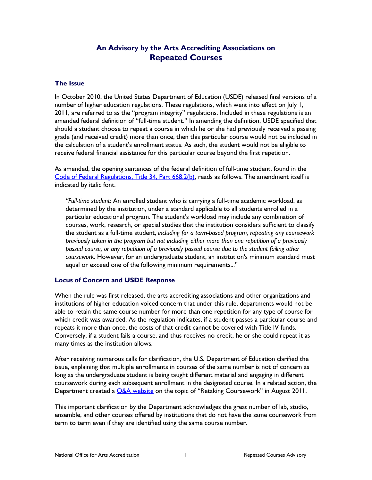# **An Advisory by the Arts Accrediting Associations on Repeated Courses**

#### **The Issue**

In October 2010, the United States Department of Education (USDE) released final versions of a number of higher education regulations. These regulations, which went into effect on July 1, 2011, are referred to as the "program integrity" regulations. Included in these regulations is an amended federal definition of "full-time student." In amending the definition, USDE specified that should a student choose to repeat a course in which he or she had previously received a passing grade (and received credit) more than once, then this particular course would not be included in the calculation of a student's enrollment status. As such, the student would not be eligible to receive federal financial assistance for this particular course beyond the first repetition.

As amended, the opening sentences of the federal definition of full-time student, found in the [Code of Federal Regulations, Title 34, Part 668.2\(b\),](http://www.ecfr.gov/cgi-bin/text-idx?SID=84c09b05dff1fba3d1736fc194fd5df8&mc=true&node=pt34.3.668&rgn=div5#se34.3.668_12) reads as follows. The amendment itself is indicated by italic font.

*"Full-time student*: An enrolled student who is carrying a full-time academic workload, as determined by the institution, under a standard applicable to all students enrolled in a particular educational program. The student's workload may include any combination of courses, work, research, or special studies that the institution considers sufficient to classify the student as a full-time student, *including for a term-based program, repeating any coursework previously taken in the program but not including either more than one repetition of a previously passed course, or any repetition of a previously passed course due to the student failing other coursework.* However, for an undergraduate student, an institution's minimum standard must equal or exceed one of the following minimum requirements..."

#### **Locus of Concern and USDE Response**

When the rule was first released, the arts accrediting associations and other organizations and institutions of higher education voiced concern that under this rule, departments would not be able to retain the same course number for more than one repetition for any type of course for which credit was awarded. As the regulation indicates, if a student passes a particular course and repeats it more than once, the costs of that credit cannot be covered with Title IV funds. Conversely, if a student fails a course, and thus receives no credit, he or she could repeat it as many times as the institution allows.

After receiving numerous calls for clarification, the U.S. Department of Education clarified the issue, explaining that multiple enrollments in courses of the same number is not of concern as long as the undergraduate student is being taught different material and engaging in different coursework during each subsequent enrollment in the designated course. In a related action, the Department created a **Q&A** website on the topic of "Retaking Coursework" in August 2011.

This important clarification by the Department acknowledges the great number of lab, studio, ensemble, and other courses offered by institutions that do not have the same coursework from term to term even if they are identified using the same course number.